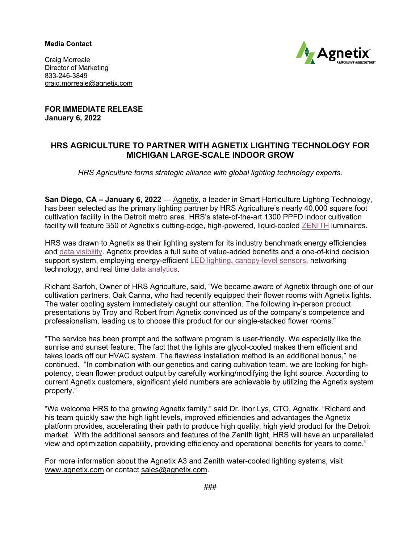**Media Contact** 



Craig Morreale Director of Marketing 833-246-3849 craig.morreale@agnetix.com

**FOR IMMEDIATE RELEASE January 6, 2022**

## **HRS AGRICULTURE TO PARTNER WITH AGNETIX LIGHTING TECHNOLOGY FOR MICHIGAN LARGE-SCALE INDOOR GROW**

*HRS Agriculture forms strategic alliance with global lighting technology experts.*

**San Diego, CA – January 6, 2022** — Agnetix, a leader in Smart Horticulture Lighting Technology, has been selected as the primary lighting partner by HRS Agriculture's nearly 40,000 square foot cultivation facility in the Detroit metro area. HRS's state-of-the-art 1300 PPFD indoor cultivation facility will feature 350 of Agnetix's cutting-edge, high-powered, liquid-cooled ZENITH luminaires.

HRS was drawn to Agnetix as their lighting system for its industry benchmark energy efficiencies and data visibility. Agnetix provides a full suite of value-added benefits and a one-of-kind decision support system, employing energy-efficient LED lighting, canopy-level sensors, networking technology, and real time data analytics.

Richard Sarfoh, Owner of HRS Agriculture, said, "We became aware of Agnetix through one of our cultivation partners, Oak Canna, who had recently equipped their flower rooms with Agnetix lights. The water cooling system immediately caught our attention. The following in-person product presentations by Troy and Robert from Agnetix convinced us of the company's competence and professionalism, leading us to choose this product for our single-stacked flower rooms."

"The service has been prompt and the software program is user-friendly. We especially like the sunrise and sunset feature. The fact that the lights are glycol-cooled makes them efficient and takes loads off our HVAC system. The flawless installation method is an additional bonus," he continued. "In combination with our genetics and caring cultivation team, we are looking for highpotency, clean flower product output by carefully working/modifying the light source. According to current Agnetix customers, significant yield numbers are achievable by utilizing the Agnetix system properly."

"We welcome HRS to the growing Agnetix family." said Dr. Ihor Lys, CTO, Agnetix. "Richard and his team quickly saw the high light levels, improved efficiencies and advantages the Agnetix platform provides, accelerating their path to produce high quality, high yield product for the Detroit market. With the additional sensors and features of the Zenith light, HRS will have an unparalleled view and optimization capability, providing efficiency and operational benefits for years to come."

For more information about the Agnetix A3 and Zenith water-cooled lighting systems, visit www.agnetix.com or contact sales@agnetix.com.